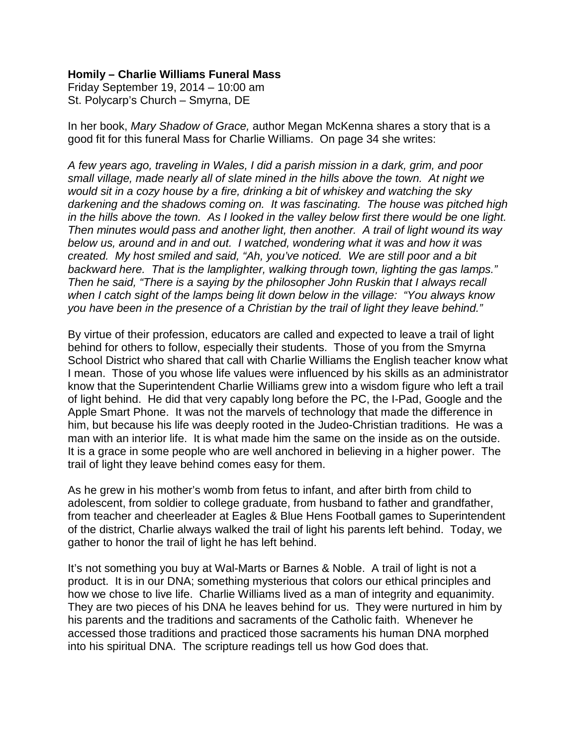## **Homily – Charlie Williams Funeral Mass**

Friday September 19, 2014 – 10:00 am St. Polycarp's Church – Smyrna, DE

In her book, *Mary Shadow of Grace,* author Megan McKenna shares a story that is a good fit for this funeral Mass for Charlie Williams. On page 34 she writes:

*A few years ago, traveling in Wales, I did a parish mission in a dark, grim, and poor small village, made nearly all of slate mined in the hills above the town. At night we would sit in a cozy house by a fire, drinking a bit of whiskey and watching the sky darkening and the shadows coming on. It was fascinating. The house was pitched high in the hills above the town. As I looked in the valley below first there would be one light. Then minutes would pass and another light, then another. A trail of light wound its way below us, around and in and out. I watched, wondering what it was and how it was created. My host smiled and said, "Ah, you've noticed. We are still poor and a bit backward here. That is the lamplighter, walking through town, lighting the gas lamps." Then he said, "There is a saying by the philosopher John Ruskin that I always recall when I catch sight of the lamps being lit down below in the village: "You always know you have been in the presence of a Christian by the trail of light they leave behind."*

By virtue of their profession, educators are called and expected to leave a trail of light behind for others to follow, especially their students. Those of you from the Smyrna School District who shared that call with Charlie Williams the English teacher know what I mean. Those of you whose life values were influenced by his skills as an administrator know that the Superintendent Charlie Williams grew into a wisdom figure who left a trail of light behind. He did that very capably long before the PC, the I-Pad, Google and the Apple Smart Phone. It was not the marvels of technology that made the difference in him, but because his life was deeply rooted in the Judeo-Christian traditions. He was a man with an interior life. It is what made him the same on the inside as on the outside. It is a grace in some people who are well anchored in believing in a higher power. The trail of light they leave behind comes easy for them.

As he grew in his mother's womb from fetus to infant, and after birth from child to adolescent, from soldier to college graduate, from husband to father and grandfather, from teacher and cheerleader at Eagles & Blue Hens Football games to Superintendent of the district, Charlie always walked the trail of light his parents left behind. Today, we gather to honor the trail of light he has left behind.

It's not something you buy at Wal-Marts or Barnes & Noble. A trail of light is not a product. It is in our DNA; something mysterious that colors our ethical principles and how we chose to live life. Charlie Williams lived as a man of integrity and equanimity. They are two pieces of his DNA he leaves behind for us. They were nurtured in him by his parents and the traditions and sacraments of the Catholic faith. Whenever he accessed those traditions and practiced those sacraments his human DNA morphed into his spiritual DNA. The scripture readings tell us how God does that.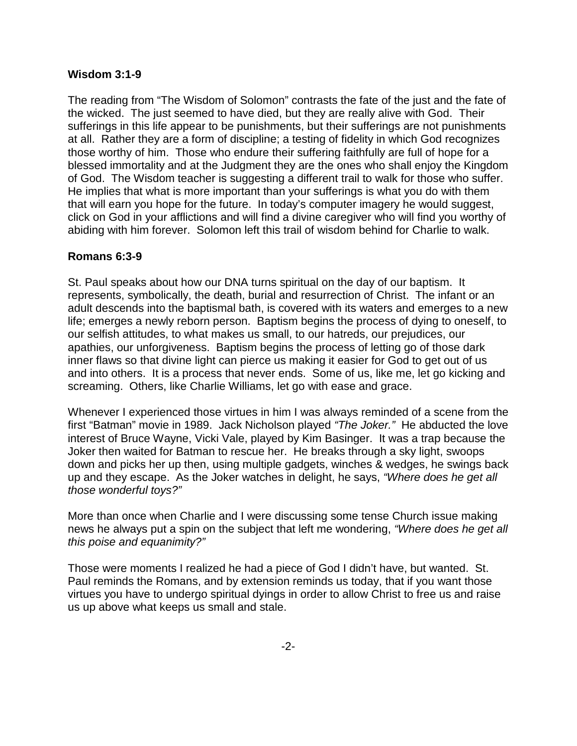## **Wisdom 3:1-9**

The reading from "The Wisdom of Solomon" contrasts the fate of the just and the fate of the wicked. The just seemed to have died, but they are really alive with God. Their sufferings in this life appear to be punishments, but their sufferings are not punishments at all. Rather they are a form of discipline; a testing of fidelity in which God recognizes those worthy of him. Those who endure their suffering faithfully are full of hope for a blessed immortality and at the Judgment they are the ones who shall enjoy the Kingdom of God. The Wisdom teacher is suggesting a different trail to walk for those who suffer. He implies that what is more important than your sufferings is what you do with them that will earn you hope for the future. In today's computer imagery he would suggest, click on God in your afflictions and will find a divine caregiver who will find you worthy of abiding with him forever. Solomon left this trail of wisdom behind for Charlie to walk.

## **Romans 6:3-9**

St. Paul speaks about how our DNA turns spiritual on the day of our baptism. It represents, symbolically, the death, burial and resurrection of Christ. The infant or an adult descends into the baptismal bath, is covered with its waters and emerges to a new life; emerges a newly reborn person. Baptism begins the process of dying to oneself, to our selfish attitudes, to what makes us small, to our hatreds, our prejudices, our apathies, our unforgiveness. Baptism begins the process of letting go of those dark inner flaws so that divine light can pierce us making it easier for God to get out of us and into others. It is a process that never ends. Some of us, like me, let go kicking and screaming. Others, like Charlie Williams, let go with ease and grace.

Whenever I experienced those virtues in him I was always reminded of a scene from the first "Batman" movie in 1989. Jack Nicholson played *"The Joker."* He abducted the love interest of Bruce Wayne, Vicki Vale, played by Kim Basinger. It was a trap because the Joker then waited for Batman to rescue her. He breaks through a sky light, swoops down and picks her up then, using multiple gadgets, winches & wedges, he swings back up and they escape. As the Joker watches in delight, he says, *"Where does he get all those wonderful toys?"* 

More than once when Charlie and I were discussing some tense Church issue making news he always put a spin on the subject that left me wondering, *"Where does he get all this poise and equanimity?"*

Those were moments I realized he had a piece of God I didn't have, but wanted. St. Paul reminds the Romans, and by extension reminds us today, that if you want those virtues you have to undergo spiritual dyings in order to allow Christ to free us and raise us up above what keeps us small and stale.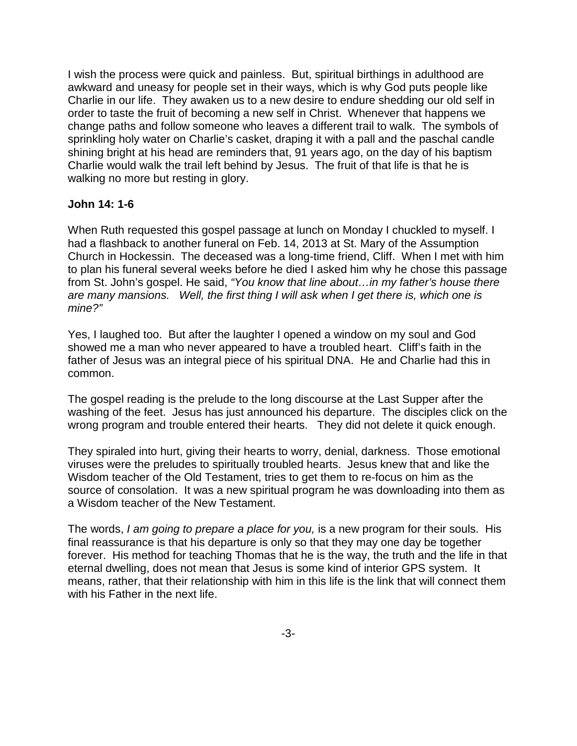I wish the process were quick and painless. But, spiritual birthings in adulthood are awkward and uneasy for people set in their ways, which is why God puts people like Charlie in our life. They awaken us to a new desire to endure shedding our old self in order to taste the fruit of becoming a new self in Christ. Whenever that happens we change paths and follow someone who leaves a different trail to walk. The symbols of sprinkling holy water on Charlie's casket, draping it with a pall and the paschal candle shining bright at his head are reminders that, 91 years ago, on the day of his baptism Charlie would walk the trail left behind by Jesus. The fruit of that life is that he is walking no more but resting in glory.

## **John 14: 1-6**

When Ruth requested this gospel passage at lunch on Monday I chuckled to myself. I had a flashback to another funeral on Feb. 14, 2013 at St. Mary of the Assumption Church in Hockessin. The deceased was a long-time friend, Cliff. When I met with him to plan his funeral several weeks before he died I asked him why he chose this passage from St. John's gospel. He said, *"You know that line about…in my father's house there are many mansions. Well, the first thing I will ask when I get there is, which one is mine?"*

Yes, I laughed too. But after the laughter I opened a window on my soul and God showed me a man who never appeared to have a troubled heart. Cliff's faith in the father of Jesus was an integral piece of his spiritual DNA. He and Charlie had this in common.

The gospel reading is the prelude to the long discourse at the Last Supper after the washing of the feet. Jesus has just announced his departure. The disciples click on the wrong program and trouble entered their hearts. They did not delete it quick enough.

They spiraled into hurt, giving their hearts to worry, denial, darkness. Those emotional viruses were the preludes to spiritually troubled hearts. Jesus knew that and like the Wisdom teacher of the Old Testament, tries to get them to re-focus on him as the source of consolation. It was a new spiritual program he was downloading into them as a Wisdom teacher of the New Testament.

The words, *I am going to prepare a place for you,* is a new program for their souls. His final reassurance is that his departure is only so that they may one day be together forever. His method for teaching Thomas that he is the way, the truth and the life in that eternal dwelling, does not mean that Jesus is some kind of interior GPS system. It means, rather, that their relationship with him in this life is the link that will connect them with his Father in the next life.